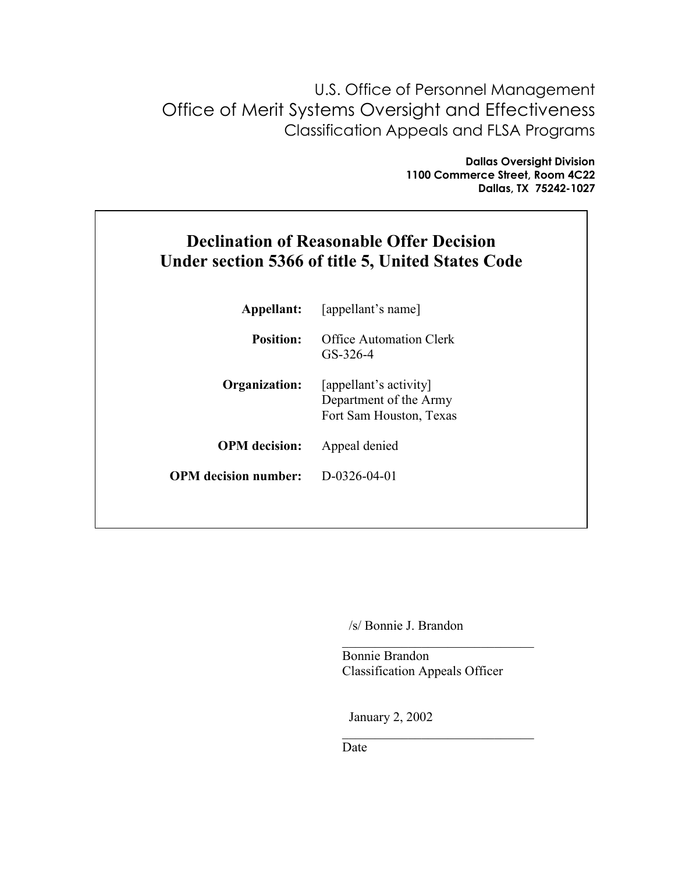U.S. Office of Personnel Management Office of Merit Systems Oversight and Effectiveness Classification Appeals and FLSA Programs

> **Dallas Oversight Division 1100 Commerce Street, Room 4C22 Dallas, TX 75242-1027**

# **Declination of Reasonable Offer Decision Under section 5366 of title 5, United States Code**

| Appellant:                  | [appellant's name]                                                          |
|-----------------------------|-----------------------------------------------------------------------------|
| <b>Position:</b>            | Office Automation Clerk<br>GS-326-4                                         |
| Organization:               | [appellant's activity]<br>Department of the Army<br>Fort Sam Houston, Texas |
| <b>OPM</b> decision:        | Appeal denied                                                               |
| <b>OPM</b> decision number: | D-0326-04-01                                                                |
|                             |                                                                             |

/s/ Bonnie J. Brandon

 Bonnie Brandon Classification Appeals Officer

 $\mathcal{L}_\text{max}$ 

 $\mathcal{L}_\text{max}$  , and the set of the set of the set of the set of the set of the set of the set of the set of the set of the set of the set of the set of the set of the set of the set of the set of the set of the set of the

January 2, 2002

Date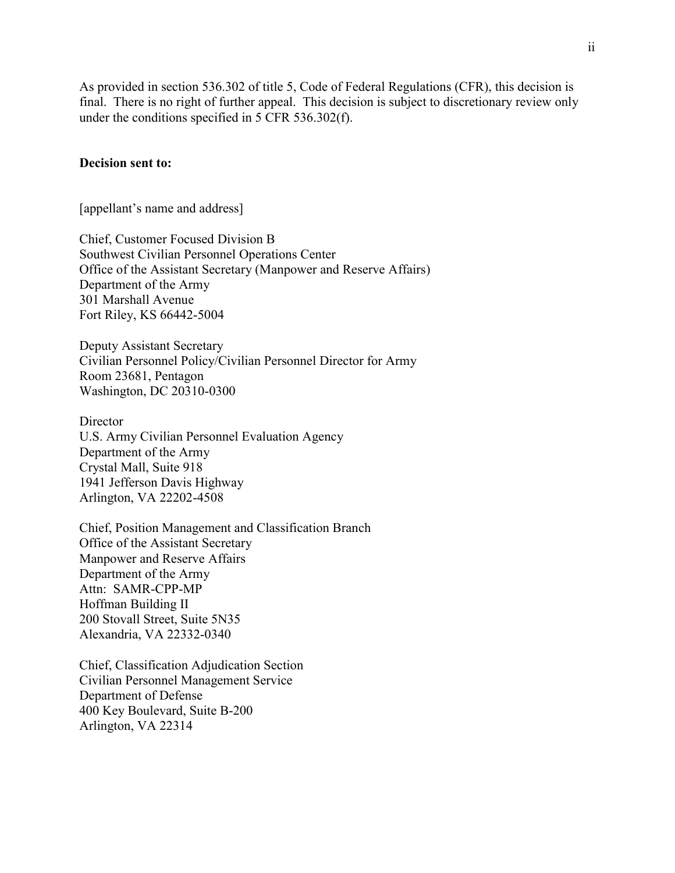As provided in section 536.302 of title 5, Code of Federal Regulations (CFR), this decision is final. There is no right of further appeal. This decision is subject to discretionary review only under the conditions specified in 5 CFR 536.302(f).

#### **Decision sent to:**

[appellant's name and address]

Chief, Customer Focused Division B Southwest Civilian Personnel Operations Center Office of the Assistant Secretary (Manpower and Reserve Affairs) Department of the Army 301 Marshall Avenue Fort Riley, KS 66442-5004

Deputy Assistant Secretary Civilian Personnel Policy/Civilian Personnel Director for Army Room 23681, Pentagon Washington, DC 20310-0300

**Director** U.S. Army Civilian Personnel Evaluation Agency Department of the Army Crystal Mall, Suite 918 1941 Jefferson Davis Highway Arlington, VA 22202-4508

Chief, Position Management and Classification Branch Office of the Assistant Secretary Manpower and Reserve Affairs Department of the Army Attn: SAMR-CPP-MP Hoffman Building II 200 Stovall Street, Suite 5N35 Alexandria, VA 22332-0340

Chief, Classification Adjudication Section Civilian Personnel Management Service Department of Defense 400 Key Boulevard, Suite B-200 Arlington, VA 22314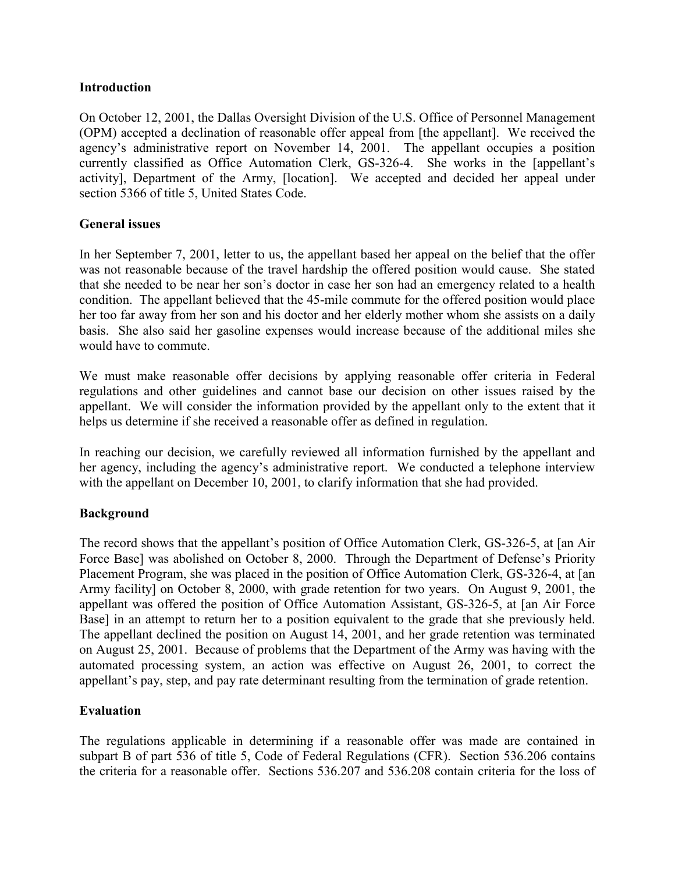## **Introduction**

On October 12, 2001, the Dallas Oversight Division of the U.S. Office of Personnel Management (OPM) accepted a declination of reasonable offer appeal from [the appellant]. We received the agency's administrative report on November 14, 2001. The appellant occupies a position currently classified as Office Automation Clerk, GS-326-4. She works in the [appellant's activity], Department of the Army, [location]. We accepted and decided her appeal under section 5366 of title 5, United States Code.

## **General issues**

In her September 7, 2001, letter to us, the appellant based her appeal on the belief that the offer was not reasonable because of the travel hardship the offered position would cause. She stated that she needed to be near her son's doctor in case her son had an emergency related to a health condition. The appellant believed that the 45-mile commute for the offered position would place her too far away from her son and his doctor and her elderly mother whom she assists on a daily basis. She also said her gasoline expenses would increase because of the additional miles she would have to commute.

We must make reasonable offer decisions by applying reasonable offer criteria in Federal regulations and other guidelines and cannot base our decision on other issues raised by the appellant. We will consider the information provided by the appellant only to the extent that it helps us determine if she received a reasonable offer as defined in regulation.

In reaching our decision, we carefully reviewed all information furnished by the appellant and her agency, including the agency's administrative report. We conducted a telephone interview with the appellant on December 10, 2001, to clarify information that she had provided.

# **Background**

The record shows that the appellant's position of Office Automation Clerk, GS-326-5, at [an Air Force Base] was abolished on October 8, 2000. Through the Department of Defense's Priority Placement Program, she was placed in the position of Office Automation Clerk, GS-326-4, at [an Army facility] on October 8, 2000, with grade retention for two years. On August 9, 2001, the appellant was offered the position of Office Automation Assistant, GS-326-5, at [an Air Force Base] in an attempt to return her to a position equivalent to the grade that she previously held. The appellant declined the position on August 14, 2001, and her grade retention was terminated on August 25, 2001. Because of problems that the Department of the Army was having with the automated processing system, an action was effective on August 26, 2001, to correct the appellant's pay, step, and pay rate determinant resulting from the termination of grade retention.

# **Evaluation**

The regulations applicable in determining if a reasonable offer was made are contained in subpart B of part 536 of title 5, Code of Federal Regulations (CFR). Section 536.206 contains the criteria for a reasonable offer. Sections 536.207 and 536.208 contain criteria for the loss of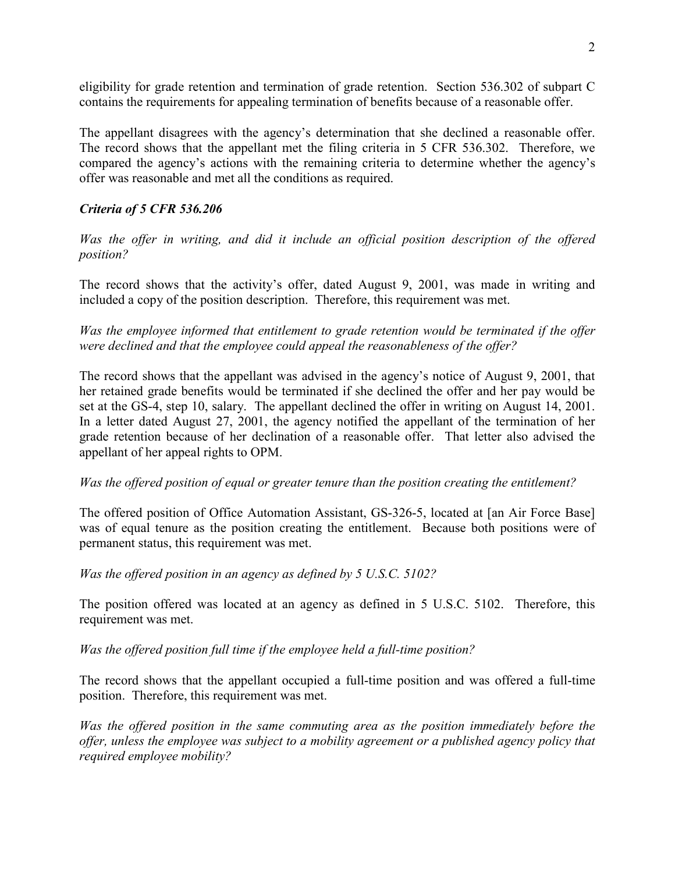eligibility for grade retention and termination of grade retention. Section 536.302 of subpart C contains the requirements for appealing termination of benefits because of a reasonable offer.

The appellant disagrees with the agency's determination that she declined a reasonable offer. The record shows that the appellant met the filing criteria in 5 CFR 536.302. Therefore, we compared the agency's actions with the remaining criteria to determine whether the agency's offer was reasonable and met all the conditions as required.

# *Criteria of 5 CFR 536.206*

*Was the offer in writing, and did it include an official position description of the offered position?* 

The record shows that the activity's offer, dated August 9, 2001, was made in writing and included a copy of the position description. Therefore, this requirement was met.

*Was the employee informed that entitlement to grade retention would be terminated if the offer were declined and that the employee could appeal the reasonableness of the offer?* 

The record shows that the appellant was advised in the agency's notice of August 9, 2001, that her retained grade benefits would be terminated if she declined the offer and her pay would be set at the GS-4, step 10, salary. The appellant declined the offer in writing on August 14, 2001. In a letter dated August 27, 2001, the agency notified the appellant of the termination of her grade retention because of her declination of a reasonable offer. That letter also advised the appellant of her appeal rights to OPM.

### *Was the offered position of equal or greater tenure than the position creating the entitlement?*

The offered position of Office Automation Assistant, GS-326-5, located at [an Air Force Base] was of equal tenure as the position creating the entitlement. Because both positions were of permanent status, this requirement was met.

*Was the offered position in an agency as defined by 5 U.S.C. 5102?* 

The position offered was located at an agency as defined in 5 U.S.C. 5102. Therefore, this requirement was met.

*Was the offered position full time if the employee held a full-time position?* 

The record shows that the appellant occupied a full-time position and was offered a full-time position. Therefore, this requirement was met.

*Was the offered position in the same commuting area as the position immediately before the offer, unless the employee was subject to a mobility agreement or a published agency policy that required employee mobility?*